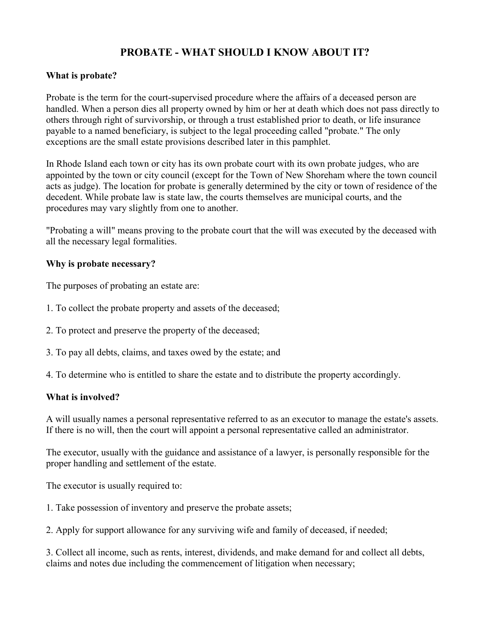# **PROBATE - WHAT SHOULD I KNOW ABOUT IT?**

# **What is probate?**

Probate is the term for the court-supervised procedure where the affairs of a deceased person are handled. When a person dies all property owned by him or her at death which does not pass directly to others through right of survivorship, or through a trust established prior to death, or life insurance payable to a named beneficiary, is subject to the legal proceeding called "probate." The only exceptions are the small estate provisions described later in this pamphlet.

In Rhode Island each town or city has its own probate court with its own probate judges, who are appointed by the town or city council (except for the Town of New Shoreham where the town council acts as judge). The location for probate is generally determined by the city or town of residence of the decedent. While probate law is state law, the courts themselves are municipal courts, and the procedures may vary slightly from one to another.

"Probating a will" means proving to the probate court that the will was executed by the deceased with all the necessary legal formalities.

## **Why is probate necessary?**

The purposes of probating an estate are:

- 1. To collect the probate property and assets of the deceased;
- 2. To protect and preserve the property of the deceased;
- 3. To pay all debts, claims, and taxes owed by the estate; and
- 4. To determine who is entitled to share the estate and to distribute the property accordingly.

#### **What is involved?**

A will usually names a personal representative referred to as an executor to manage the estate's assets. If there is no will, then the court will appoint a personal representative called an administrator.

The executor, usually with the guidance and assistance of a lawyer, is personally responsible for the proper handling and settlement of the estate.

The executor is usually required to:

1. Take possession of inventory and preserve the probate assets;

2. Apply for support allowance for any surviving wife and family of deceased, if needed;

3. Collect all income, such as rents, interest, dividends, and make demand for and collect all debts, claims and notes due including the commencement of litigation when necessary;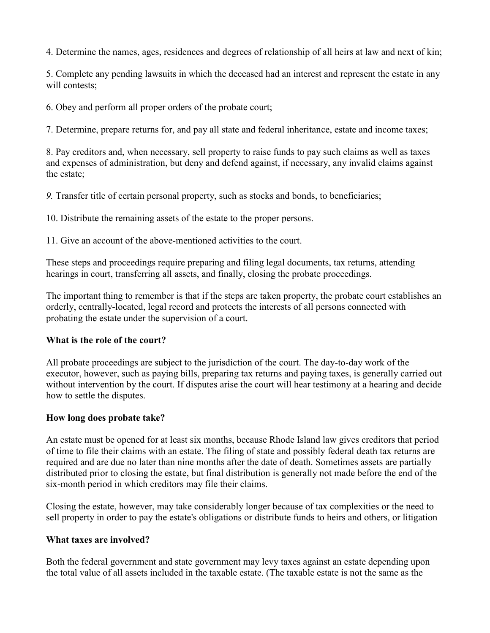4. Determine the names, ages, residences and degrees of relationship of all heirs at law and next of kin;

5. Complete any pending lawsuits in which the deceased had an interest and represent the estate in any will contests:

6. Obey and perform all proper orders of the probate court;

7. Determine, prepare returns for, and pay all state and federal inheritance, estate and income taxes;

8. Pay creditors and, when necessary, sell property to raise funds to pay such claims as well as taxes and expenses of administration, but deny and defend against, if necessary, any invalid claims against the estate;

*9.* Transfer title of certain personal property, such as stocks and bonds, to beneficiaries;

10. Distribute the remaining assets of the estate to the proper persons.

11. Give an account of the above-mentioned activities to the court.

These steps and proceedings require preparing and filing legal documents, tax returns, attending hearings in court, transferring all assets, and finally, closing the probate proceedings.

The important thing to remember is that if the steps are taken property, the probate court establishes an orderly, centrally-located, legal record and protects the interests of all persons connected with probating the estate under the supervision of a court.

### **What is the role of the court?**

All probate proceedings are subject to the jurisdiction of the court. The day-to-day work of the executor, however, such as paying bills, preparing tax returns and paying taxes, is generally carried out without intervention by the court. If disputes arise the court will hear testimony at a hearing and decide how to settle the disputes.

### **How long does probate take?**

An estate must be opened for at least six months, because Rhode Island law gives creditors that period of time to file their claims with an estate. The filing of state and possibly federal death tax returns are required and are due no later than nine months after the date of death. Sometimes assets are partially distributed prior to closing the estate, but final distribution is generally not made before the end of the six-month period in which creditors may file their claims.

Closing the estate, however, may take considerably longer because of tax complexities or the need to sell property in order to pay the estate's obligations or distribute funds to heirs and others, or litigation

### **What taxes are involved?**

Both the federal government and state government may levy taxes against an estate depending upon the total value of all assets included in the taxable estate. (The taxable estate is not the same as the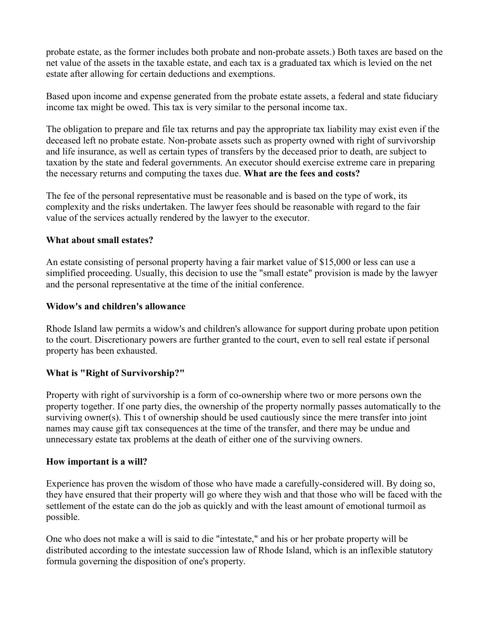probate estate, as the former includes both probate and non-probate assets.) Both taxes are based on the net value of the assets in the taxable estate, and each tax is a graduated tax which is levied on the net estate after allowing for certain deductions and exemptions.

Based upon income and expense generated from the probate estate assets, a federal and state fiduciary income tax might be owed. This tax is very similar to the personal income tax.

The obligation to prepare and file tax returns and pay the appropriate tax liability may exist even if the deceased left no probate estate. Non-probate assets such as property owned with right of survivorship and life insurance, as well as certain types of transfers by the deceased prior to death, are subject to taxation by the state and federal governments. An executor should exercise extreme care in preparing the necessary returns and computing the taxes due. **What are the fees and costs?**

The fee of the personal representative must be reasonable and is based on the type of work, its complexity and the risks undertaken. The lawyer fees should be reasonable with regard to the fair value of the services actually rendered by the lawyer to the executor.

## **What about small estates?**

An estate consisting of personal property having a fair market value of \$15,000 or less can use a simplified proceeding. Usually, this decision to use the "small estate" provision is made by the lawyer and the personal representative at the time of the initial conference.

## **Widow's and children's allowance**

Rhode Island law permits a widow's and children's allowance for support during probate upon petition to the court. Discretionary powers are further granted to the court, even to sell real estate if personal property has been exhausted.

# **What is "Right of Survivorship?"**

Property with right of survivorship is a form of co-ownership where two or more persons own the property together. If one party dies, the ownership of the property normally passes automatically to the surviving owner(s). This t of ownership should be used cautiously since the mere transfer into joint names may cause gift tax consequences at the time of the transfer, and there may be undue and unnecessary estate tax problems at the death of either one of the surviving owners.

### **How important is a will?**

Experience has proven the wisdom of those who have made a carefully-considered will. By doing so, they have ensured that their property will go where they wish and that those who will be faced with the settlement of the estate can do the job as quickly and with the least amount of emotional turmoil as possible.

One who does not make a will is said to die "intestate," and his or her probate property will be distributed according to the intestate succession law of Rhode Island, which is an inflexible statutory formula governing the disposition of one's property.